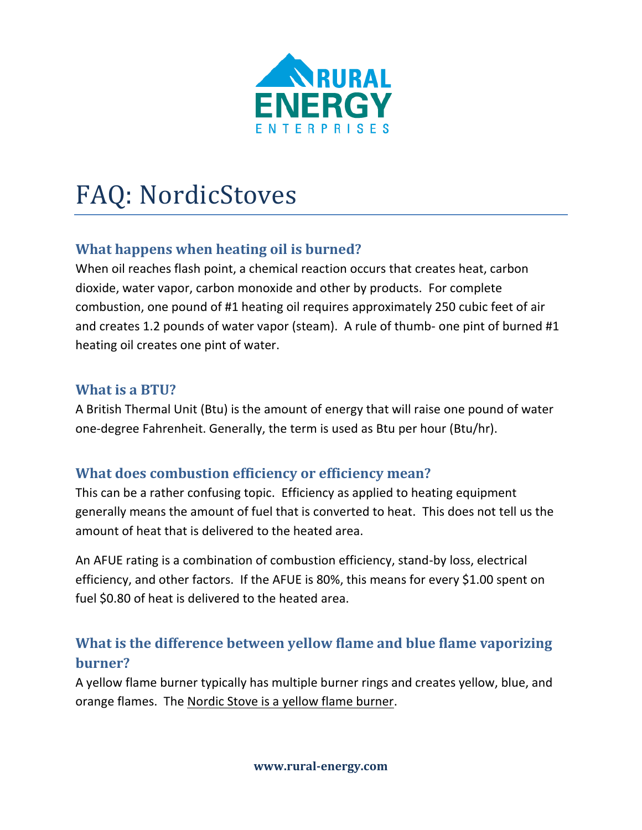

# FAQ: NordicStoves

# **What happens when heating oil is burned?**

When oil reaches flash point, a chemical reaction occurs that creates heat, carbon dioxide, water vapor, carbon monoxide and other by products. For complete combustion, one pound of #1 heating oil requires approximately 250 cubic feet of air and creates 1.2 pounds of water vapor (steam). A rule of thumb- one pint of burned #1 heating oil creates one pint of water.

### **What is a BTU?**

A British Thermal Unit (Btu) is the amount of energy that will raise one pound of water one-degree Fahrenheit. Generally, the term is used as Btu per hour (Btu/hr).

## **What does combustion efficiency or efficiency mean?**

This can be a rather confusing topic. Efficiency as applied to heating equipment generally means the amount of fuel that is converted to heat. This does not tell us the amount of heat that is delivered to the heated area.

An AFUE rating is a combination of combustion efficiency, stand-by loss, electrical efficiency, and other factors. If the AFUE is 80%, this means for every \$1.00 spent on fuel \$0.80 of heat is delivered to the heated area.

# **What is the difference between yellow flame and blue flame vaporizing burner?**

A yellow flame burner typically has multiple burner rings and creates yellow, blue, and orange flames. The Nordic Stove is a yellow flame burner.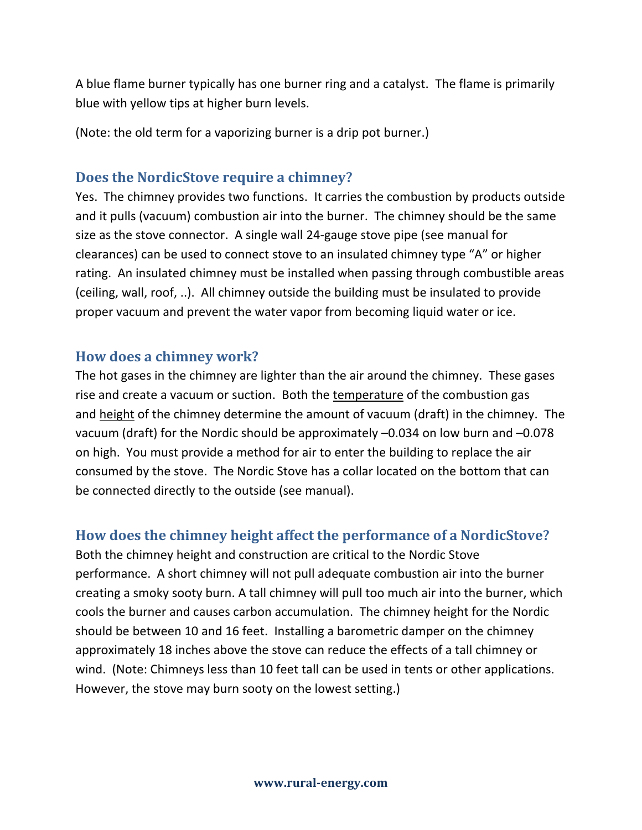A blue flame burner typically has one burner ring and a catalyst. The flame is primarily blue with yellow tips at higher burn levels.

(Note: the old term for a vaporizing burner is a drip pot burner.)

#### **Does the NordicStove require a chimney?**

Yes. The chimney provides two functions. It carries the combustion by products outside and it pulls (vacuum) combustion air into the burner. The chimney should be the same size as the stove connector. A single wall 24-gauge stove pipe (see manual for clearances) can be used to connect stove to an insulated chimney type "A" or higher rating. An insulated chimney must be installed when passing through combustible areas (ceiling, wall, roof, ..). All chimney outside the building must be insulated to provide proper vacuum and prevent the water vapor from becoming liquid water or ice.

#### **How does a chimney work?**

The hot gases in the chimney are lighter than the air around the chimney. These gases rise and create a vacuum or suction. Both the temperature of the combustion gas and height of the chimney determine the amount of vacuum (draft) in the chimney. The vacuum (draft) for the Nordic should be approximately –0.034 on low burn and –0.078 on high. You must provide a method for air to enter the building to replace the air consumed by the stove. The Nordic Stove has a collar located on the bottom that can be connected directly to the outside (see manual).

#### **How does the chimney height affect the performance of a NordicStove?**

Both the chimney height and construction are critical to the Nordic Stove performance. A short chimney will not pull adequate combustion air into the burner creating a smoky sooty burn. A tall chimney will pull too much air into the burner, which cools the burner and causes carbon accumulation. The chimney height for the Nordic should be between 10 and 16 feet. Installing a barometric damper on the chimney approximately 18 inches above the stove can reduce the effects of a tall chimney or wind. (Note: Chimneys less than 10 feet tall can be used in tents or other applications. However, the stove may burn sooty on the lowest setting.)